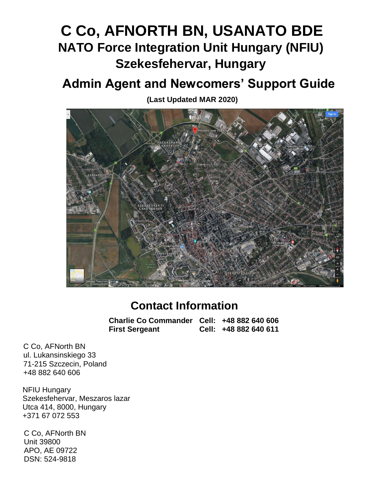# **C Co, AFNORTH BN, USANATO BDE NATO Force Integration Unit Hungary (NFIU) Szekesfehervar, Hungary**

# **Admin Agent and Newcomers' Support Guide**

**(Last Updated MAR 2020)**



# **Contact Information**

**Charlie Co Commander Cell: +48 882 640 606 First Sergeant Cell: +48 882 640 611**

C Co, AFNorth BN ul. Lukansinskiego 33 71-215 Szczecin, Poland +48 882 640 606

NFIU Hungary Szekesfehervar, Meszaros lazar Utca 414, 8000, Hungary +371 67 072 553

C Co, AFNorth BN Unit 39800 APO, AE 09722 DSN: 524-9818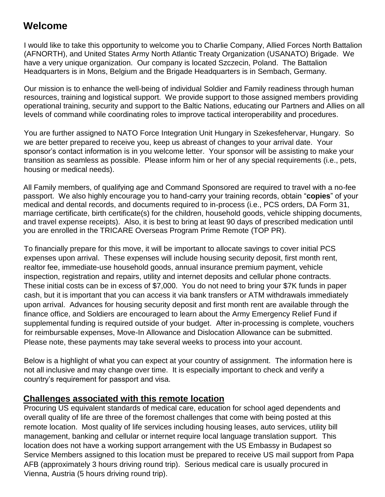## **Welcome**

I would like to take this opportunity to welcome you to Charlie Company, Allied Forces North Battalion (AFNORTH), and United States Army North Atlantic Treaty Organization (USANATO) Brigade. We have a very unique organization. Our company is located Szczecin, Poland. The Battalion Headquarters is in Mons, Belgium and the Brigade Headquarters is in Sembach, Germany.

Our mission is to enhance the well-being of individual Soldier and Family readiness through human resources, training and logistical support. We provide support to those assigned members providing operational training, security and support to the Baltic Nations, educating our Partners and Allies on all levels of command while coordinating roles to improve tactical interoperability and procedures.

You are further assigned to NATO Force Integration Unit Hungary in Szekesfehervar, Hungary. So we are better prepared to receive you, keep us abreast of changes to your arrival date. Your sponsor's contact information is in you welcome letter. Your sponsor will be assisting to make your transition as seamless as possible. Please inform him or her of any special requirements (i.e., pets, housing or medical needs).

All Family members, of qualifying age and Command Sponsored are required to travel with a no-fee passport. We also highly encourage you to hand-carry your training records, obtain "**copies**" of your medical and dental records, and documents required to in-process (i.e., PCS orders, DA Form 31, marriage certificate, birth certificate(s) for the children, household goods, vehicle shipping documents, and travel expense receipts). Also, it is best to bring at least 90 days of prescribed medication until you are enrolled in the TRICARE Overseas Program Prime Remote (TOP PR).

To financially prepare for this move, it will be important to allocate savings to cover initial PCS expenses upon arrival. These expenses will include housing security deposit, first month rent, realtor fee, immediate-use household goods, annual insurance premium payment, vehicle inspection, registration and repairs, utility and internet deposits and cellular phone contracts. These initial costs can be in excess of \$7,000. You do not need to bring your \$7K funds in paper cash, but it is important that you can access it via bank transfers or ATM withdrawals immediately upon arrival. Advances for housing security deposit and first month rent are available through the finance office, and Soldiers are encouraged to learn about the Army Emergency Relief Fund if supplemental funding is required outside of your budget. After in-processing is complete, vouchers for reimbursable expenses, Move-In Allowance and Dislocation Allowance can be submitted. Please note, these payments may take several weeks to process into your account.

Below is a highlight of what you can expect at your country of assignment. The information here is not all inclusive and may change over time. It is especially important to check and verify a country's requirement for passport and visa.

#### **Challenges associated with this remote location**

Procuring US equivalent standards of medical care, education for school aged dependents and overall quality of life are three of the foremost challenges that come with being posted at this remote location. Most quality of life services including housing leases, auto services, utility bill management, banking and cellular or internet require local language translation support. This location does not have a working support arrangement with the US Embassy in Budapest so Service Members assigned to this location must be prepared to receive US mail support from Papa AFB (approximately 3 hours driving round trip). Serious medical care is usually procured in Vienna, Austria (5 hours driving round trip).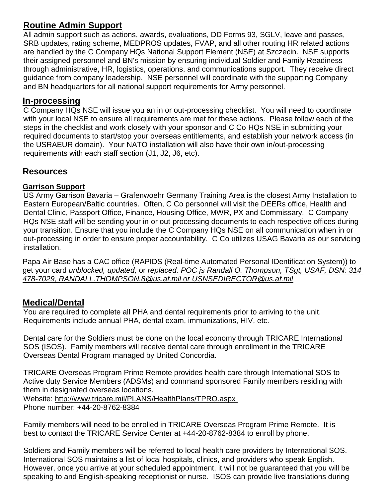## **Routine Admin Support**

All admin support such as actions, awards, evaluations, DD Forms 93, SGLV, leave and passes, SRB updates, rating scheme, MEDPROS updates, FVAP, and all other routing HR related actions are handled by the C Company HQs National Support Element (NSE) at Szczecin. NSE supports their assigned personnel and BN's mission by ensuring individual Soldier and Family Readiness through administrative, HR, logistics, operations, and communications support. They receive direct guidance from company leadership. NSE personnel will coordinate with the supporting Company and BN headquarters for all national support requirements for Army personnel.

#### **In-processing**

C Company HQs NSE will issue you an in or out-processing checklist. You will need to coordinate with your local NSE to ensure all requirements are met for these actions. Please follow each of the steps in the checklist and work closely with your sponsor and C Co HQs NSE in submitting your required documents to start/stop your overseas entitlements, and establish your network access (in the USRAEUR domain). Your NATO installation will also have their own in/out-processing requirements with each staff section (J1, J2, J6, etc).

## **Resources**

#### **Garrison Support**

US Army Garrison Bavaria – Grafenwoehr Germany Training Area is the closest Army Installation to Eastern European/Baltic countries. Often, C Co personnel will visit the DEERs office, Health and Dental Clinic, Passport Office, Finance, Housing Office, MWR, PX and Commissary. C Company HQs NSE staff will be sending your in or out-processing documents to each respective offices during your transition. Ensure that you include the C Company HQs NSE on all communication when in or out-processing in order to ensure proper accountability. C Co utilizes USAG Bavaria as our servicing installation.

Papa Air Base has a CAC office (RAPIDS (Real-time Automated Personal IDentification System)) to get your card *unblocked, updated,* or *replaced. POC js Randall O. Thompson, TSgt, USAF, DSN: 314 478-7029, RANDALL.THOMPSON.8@us.af.mil or USNSEDIRECTOR@us.af.mil*

#### **Medical/Dental**

You are required to complete all PHA and dental requirements prior to arriving to the unit. Requirements include annual PHA, dental exam, immunizations, HIV, etc.

Dental care for the Soldiers must be done on the local economy through TRICARE International SOS (ISOS). Family members will receive dental care through enrollment in the TRICARE Overseas Dental Program managed by United Concordia.

TRICARE Overseas Program Prime Remote provides health care through International SOS to Active duty Service Members (ADSMs) and command sponsored Family members residing with them in designated overseas locations. Website:<http://www.tricare.mil/PLANS/HealthPlans/TPRO.aspx> Phone number: +44-20-8762-8384

Family members will need to be enrolled in TRICARE Overseas Program Prime Remote. It is best to contact the TRICARE Service Center at +44-20-8762-8384 to enroll by phone.

Soldiers and Family members will be referred to local health care providers by International SOS. International SOS maintains a list of local hospitals, clinics, and providers who speak English. However, once you arrive at your scheduled appointment, it will not be guaranteed that you will be speaking to and English-speaking receptionist or nurse. ISOS can provide live translations during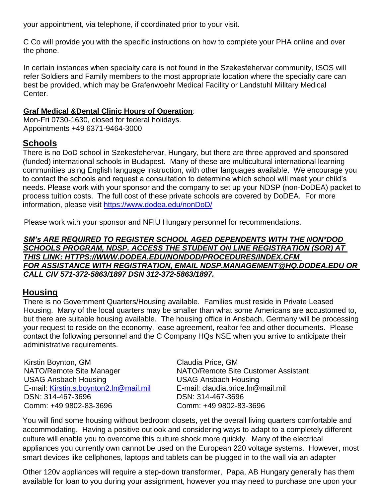your appointment, via telephone, if coordinated prior to your visit.

C Co will provide you with the specific instructions on how to complete your PHA online and over the phone.

In certain instances when specialty care is not found in the Szekesfehervar community, ISOS will refer Soldiers and Family members to the most appropriate location where the specialty care can best be provided, which may be Grafenwoehr Medical Facility or Landstuhl Military Medical Center.

#### **Graf Medical &Dental Clinic Hours of Operation**:

Mon-Fri 0730-1630, closed for federal holidays. Appointments +49 6371-9464-3000

#### **Schools**

There is no DoD school in Szekesfehervar, Hungary, but there are three approved and sponsored (funded) international schools in Budapest. Many of these are multicultural international learning communities using English language instruction, with other languages available. We encourage you to contact the schools and request a consultation to determine which school will meet your child's needs. Please work with your sponsor and the company to set up your NDSP (non-DoDEA) packet to process tuition costs. The full cost of these private schools are covered by DoDEA. For more information, please visit<https://www.dodea.edu/nonDoD/>

Please work with your sponsor and NFIU Hungary personnel for recommendations.

#### *SM's ARE REQUIRED TO REGISTER SCHOOL AGED DEPENDENTS WITH THE NON\*DOD SCHOOLS PROGRAM, NDSP. ACCESS THE STUDENT ON LINE REGISTRATION (SOR) AT THIS LINK: HTTPS://WWW.DODEA.EDU/NONDOD/PROCEDURES/INDEX.CFM FOR ASSISTANCE WITH REGISTRATION, EMAIL NDSP.MANAGEMENT@HQ.DODEA.EDU OR CALL CIV 571-372-5863/1897 DSN 312-372-5863/1897.*

#### **Housing**

There is no Government Quarters/Housing available. Families must reside in Private Leased Housing. Many of the local quarters may be smaller than what some Americans are accustomed to, but there are suitable housing available. The housing office in Ansbach, Germany will be processing your request to reside on the economy, lease agreement, realtor fee and other documents. Please contact the following personnel and the C Company HQs NSE when you arrive to anticipate their administrative requirements.

Kirstin Boynton, GM Claudia Price, GM USAG Ansbach Housing USAG Ansbach Housing E-mail: [Kirstin.s.boynton2.ln@mail.mil](mailto:Kirstin.s.boynton2.ln@mail.mil) E-mail: claudia.price.ln@mail.mil DSN: 314-467-3696 DSN: 314-467-3696 Comm: +49 9802-83-3696 Comm: +49 9802-83-3696

NATO/Remote Site Manager NATO/Remote Site Customer Assistant

You will find some housing without bedroom closets, yet the overall living quarters comfortable and accommodating. Having a positive outlook and considering ways to adapt to a completely different culture will enable you to overcome this culture shock more quickly. Many of the electrical appliances you currently own cannot be used on the European 220 voltage systems. However, most smart devices like cellphones, laptops and tablets can be plugged in to the wall via an adapter

Other 120v appliances will require a step-down transformer, Papa, AB Hungary generally has them available for loan to you during your assignment, however you may need to purchase one upon your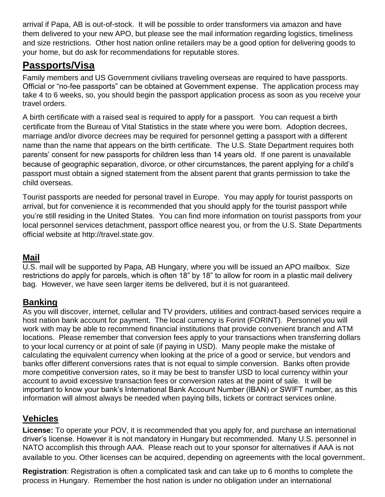arrival if Papa, AB is out-of-stock. It will be possible to order transformers via amazon and have them delivered to your new APO, but please see the mail information regarding logistics, timeliness and size restrictions. Other host nation online retailers may be a good option for delivering goods to your home, but do ask for recommendations for reputable stores.

## **Passports/Visa**

Family members and US Government civilians traveling overseas are required to have passports. Official or "no-fee passports" can be obtained at Government expense. The application process may take 4 to 6 weeks, so, you should begin the passport application process as soon as you receive your travel orders.

A birth certificate with a raised seal is required to apply for a passport. You can request a birth certificate from the Bureau of Vital Statistics in the state where you were born. Adoption decrees, marriage and/or divorce decrees may be required for personnel getting a passport with a different name than the name that appears on the birth certificate. The U.S. State Department requires both parents' consent for new passports for children less than 14 years old. If one parent is unavailable because of geographic separation, divorce, or other circumstances, the parent applying for a child's passport must obtain a signed statement from the absent parent that grants permission to take the child overseas.

Tourist passports are needed for personal travel in Europe. You may apply for tourist passports on arrival, but for convenience it is recommended that you should apply for the tourist passport while you're still residing in the United States. You can find more information on tourist passports from your local personnel services detachment, passport office nearest you, or from the U.S. State Departments official website at [http://travel.state.gov.](http://travel.state.gov/)

#### **Mail**

U.S. mail will be supported by Papa, AB Hungary, where you will be issued an APO mailbox. Size restrictions do apply for parcels, which is often 18" by 18" to allow for room in a plastic mail delivery bag. However, we have seen larger items be delivered, but it is not guaranteed.

## **Banking**

As you will discover, internet, cellular and TV providers, utilities and contract-based services require a host nation bank account for payment. The local currency is Forint (FORINT). Personnel you will work with may be able to recommend financial institutions that provide convenient branch and ATM locations. Please remember that conversion fees apply to your transactions when transferring dollars to your local currency or at point of sale (if paying in USD). Many people make the mistake of calculating the equivalent currency when looking at the price of a good or service, but vendors and banks offer different conversions rates that is not equal to simple conversion. Banks often provide more competitive conversion rates, so it may be best to transfer USD to local currency within your account to avoid excessive transaction fees or conversion rates at the point of sale. It will be important to know your bank's International Bank Account Number (IBAN) or SWIFT number, as this information will almost always be needed when paying bills, tickets or contract services online.

## **Vehicles**

**License:** To operate your POV, it is recommended that you apply for, and purchase an international driver's license. However it is not mandatory in Hungary but recommended. Many U.S. personnel in NATO accomplish this through AAA. Please reach out to your sponsor for alternatives if AAA is not available to you. Other licenses can be acquired, depending on agreements with the local government.

**Registration**: Registration is often a complicated task and can take up to 6 months to complete the process in Hungary. Remember the host nation is under no obligation under an international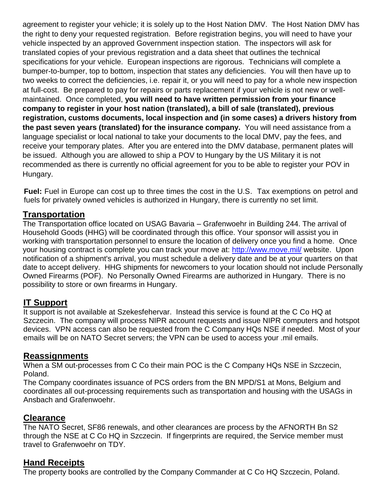agreement to register your vehicle; it is solely up to the Host Nation DMV. The Host Nation DMV has the right to deny your requested registration. Before registration begins, you will need to have your vehicle inspected by an approved Government inspection station. The inspectors will ask for translated copies of your previous registration and a data sheet that outlines the technical specifications for your vehicle. European inspections are rigorous. Technicians will complete a bumper-to-bumper, top to bottom, inspection that states any deficiencies. You will then have up to two weeks to correct the deficiencies, i.e. repair it, or you will need to pay for a whole new inspection at full-cost. Be prepared to pay for repairs or parts replacement if your vehicle is not new or wellmaintained. Once completed, **you will need to have written permission from your finance company to register in your host nation (translated), a bill of sale (translated), previous registration, customs documents, local inspection and (in some cases) a drivers history from the past seven years (translated) for the insurance company.** You will need assistance from a language specialist or local national to take your documents to the local DMV, pay the fees, and receive your temporary plates. After you are entered into the DMV database, permanent plates will be issued. Although you are allowed to ship a POV to Hungary by the US Military it is not recommended as there is currently no official agreement for you to be able to register your POV in Hungary.

**Fuel:** Fuel in Europe can cost up to three times the cost in the U.S. Tax exemptions on petrol and fuels for privately owned vehicles is authorized in Hungary, there is currently no set limit.

#### **Transportation**

The Transportation office located on USAG Bavaria – Grafenwoehr in Building 244. The arrival of Household Goods (HHG) will be coordinated through this office. Your sponsor will assist you in working with transportation personnel to ensure the location of delivery once you find a home. Once your housing contract is complete you can track your move at:<http://www.move.mil/> website. Upon notification of a shipment's arrival, you must schedule a delivery date and be at your quarters on that date to accept delivery. HHG shipments for newcomers to your location should not include Personally Owned Firearms (POF). No Personally Owned Firearms are authorized in Hungary. There is no possibility to store or own firearms in Hungary.

#### **IT Support**

It support is not available at Szekesfehervar. Instead this service is found at the C Co HQ at Szczecin. The company will process NIPR account requests and issue NIPR computers and hotspot devices. VPN access can also be requested from the C Company HQs NSE if needed. Most of your emails will be on NATO Secret servers; the VPN can be used to access your .mil emails.

#### **Reassignments**

When a SM out-processes from C Co their main POC is the C Company HQs NSE in Szczecin, Poland.

The Company coordinates issuance of PCS orders from the BN MPD/S1 at Mons, Belgium and coordinates all out-processing requirements such as transportation and housing with the USAGs in Ansbach and Grafenwoehr.

#### **Clearance**

The NATO Secret, SF86 renewals, and other clearances are process by the AFNORTH Bn S2 through the NSE at C Co HQ in Szczecin. If fingerprints are required, the Service member must travel to Grafenwoehr on TDY.

#### **Hand Receipts**

The property books are controlled by the Company Commander at C Co HQ Szczecin, Poland.